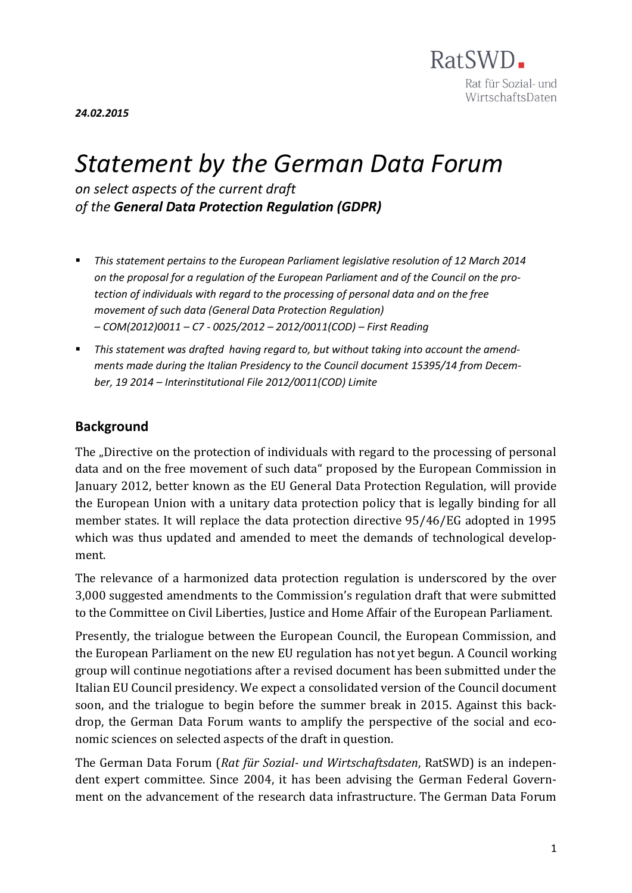

*24.02.2015*

# *Statement by the German Data Forum*

*on select aspects of the current draft of the General D***a***ta Protection Regulation (GDPR)*

- *This statement pertains to the European Parliament legislative resolution of 12 March 2014 on the proposal for a regulation of the European Parliament and of the Council on the protection of individuals with regard to the processing of personal data and on the free movement of such data (General Data Protection Regulation) – COM(2012)0011 – C7 - 0025/2012 – 2012/0011(COD) – First Reading*
- *This statement was drafted having regard to, but without taking into account the amendments made during the Italian Presidency to the Council document 15395/14 from December, 19 2014 – Interinstitutional File 2012/0011(COD) Limite*

### **Background**

The "Directive on the protection of individuals with regard to the processing of personal data and on the free movement of such data" proposed by the European Commission in January 2012, better known as the EU General Data Protection Regulation, will provide the European Union with a unitary data protection policy that is legally binding for all member states. It will replace the data protection directive 95/46/EG adopted in 1995 which was thus updated and amended to meet the demands of technological development.

The relevance of a harmonized data protection regulation is underscored by the over 3,000 suggested amendments to the Commission's regulation draft that were submitted to the Committee on Civil Liberties, Justice and Home Affair of the European Parliament.

Presently, the trialogue between the European Council, the European Commission, and the European Parliament on the new EU regulation has not yet begun. A Council working group will continue negotiations after a revised document has been submitted under the Italian EU Council presidency. We expect a consolidated version of the Council document soon, and the trialogue to begin before the summer break in 2015. Against this backdrop, the German Data Forum wants to amplify the perspective of the social and economic sciences on selected aspects of the draft in question.

The German Data Forum (*Rat für Sozial- und Wirtschaftsdaten*, RatSWD) is an independent expert committee. Since 2004, it has been advising the German Federal Government on the advancement of the research data infrastructure. The German Data Forum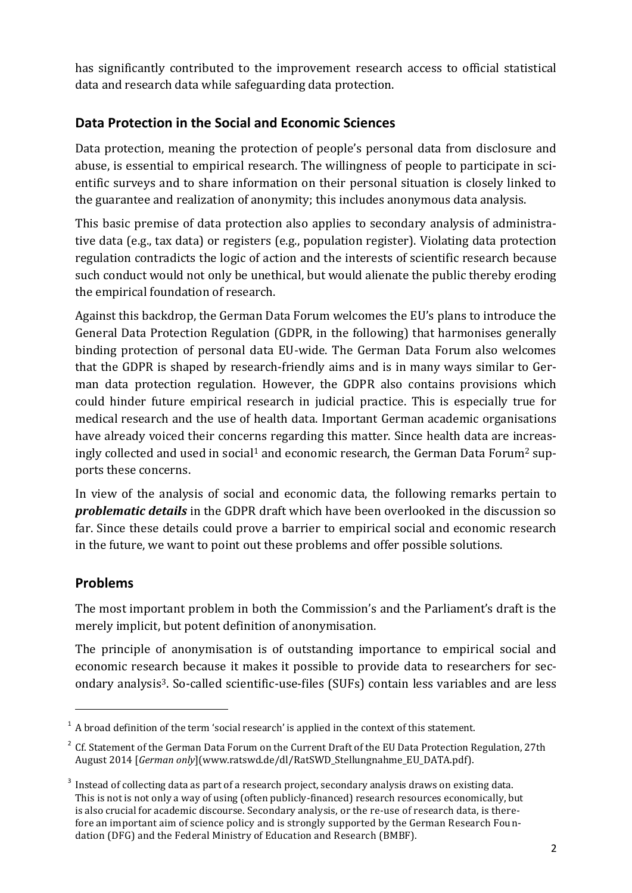has significantly contributed to the improvement research access to official statistical data and research data while safeguarding data protection.

## **Data Protection in the Social and Economic Sciences**

Data protection, meaning the protection of people's personal data from disclosure and abuse, is essential to empirical research. The willingness of people to participate in scientific surveys and to share information on their personal situation is closely linked to the guarantee and realization of anonymity; this includes anonymous data analysis.

This basic premise of data protection also applies to secondary analysis of administrative data (e.g., tax data) or registers (e.g., population register). Violating data protection regulation contradicts the logic of action and the interests of scientific research because such conduct would not only be unethical, but would alienate the public thereby eroding the empirical foundation of research.

Against this backdrop, the German Data Forum welcomes the EU's plans to introduce the General Data Protection Regulation (GDPR, in the following) that harmonises generally binding protection of personal data EU-wide. The German Data Forum also welcomes that the GDPR is shaped by research-friendly aims and is in many ways similar to German data protection regulation. However, the GDPR also contains provisions which could hinder future empirical research in judicial practice. This is especially true for medical research and the use of health data. Important German academic organisations have already voiced their concerns regarding this matter. Since health data are increasingly collected and used in social<sup>1</sup> and economic research, the German Data Forum<sup>2</sup> supports these concerns.

In view of the analysis of social and economic data, the following remarks pertain to *problematic details* in the GDPR draft which have been overlooked in the discussion so far. Since these details could prove a barrier to empirical social and economic research in the future, we want to point out these problems and offer possible solutions.

## **Problems**

 $\overline{\phantom{a}}$ 

The most important problem in both the Commission's and the Parliament's draft is the merely implicit, but potent definition of anonymisation.

The principle of anonymisation is of outstanding importance to empirical social and economic research because it makes it possible to provide data to researchers for secondary analysis3. So-called scientific-use-files (SUFs) contain less variables and are less

<sup>1</sup> A broad definition of the term 'social research' is applied in the context of this statement.

<sup>&</sup>lt;sup>2</sup> Cf. Statement of the German Data Forum on the Current Draft of the EU Data Protection Regulation, 27th August 2014 [*German only*](www.ratswd.de/dl/RatSWD\_Stellungnahme\_EU\_DATA.pdf).

<sup>3</sup> Instead of collecting data as part of a research project, secondary analysis draws on existing data. This is not is not only a way of using (often publicly-financed) research resources economically, but is also crucial for academic discourse. Secondary analysis, or the re-use of research data, is therefore an important aim of science policy and is strongly supported by the German Research Foundation (DFG) and the Federal Ministry of Education and Research (BMBF).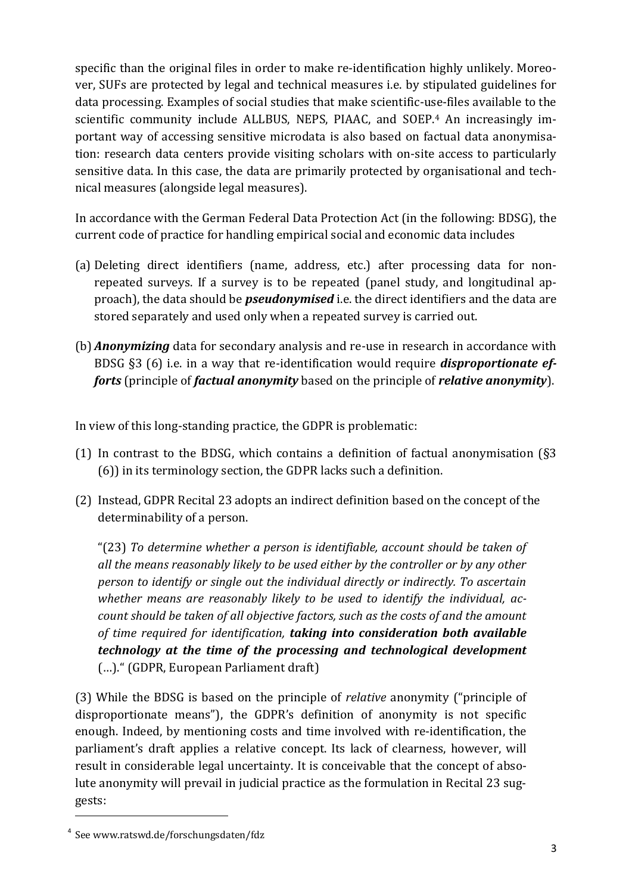specific than the original files in order to make re-identification highly unlikely. Moreover, SUFs are protected by legal and technical measures i.e. by stipulated guidelines for data processing. Examples of social studies that make scientific-use-files available to the scientific community include ALLBUS, NEPS, PIAAC, and SOEP. <sup>4</sup> An increasingly important way of accessing sensitive microdata is also based on factual data anonymisation: research data centers provide visiting scholars with on-site access to particularly sensitive data. In this case, the data are primarily protected by organisational and technical measures (alongside legal measures).

In accordance with the German Federal Data Protection Act (in the following: BDSG), the current code of practice for handling empirical social and economic data includes

- (a) Deleting direct identifiers (name, address, etc.) after processing data for nonrepeated surveys. If a survey is to be repeated (panel study, and longitudinal approach), the data should be *pseudonymised* i.e. the direct identifiers and the data are stored separately and used only when a repeated survey is carried out.
- (b) *Anonymizing* data for secondary analysis and re-use in research in accordance with BDSG §3 (6) i.e. in a way that re-identification would require *disproportionate efforts* (principle of *factual anonymity* based on the principle of *relative anonymity*).

In view of this long-standing practice, the GDPR is problematic:

- (1) In contrast to the BDSG, which contains a definition of factual anonymisation (§3 (6)) in its terminology section, the GDPR lacks such a definition.
- (2) Instead, GDPR Recital 23 adopts an indirect definition based on the concept of the determinability of a person.

"(23) *To determine whether a person is identifiable, account should be taken of all the means reasonably likely to be used either by the controller or by any other person to identify or single out the individual directly or indirectly. To ascertain whether means are reasonably likely to be used to identify the individual, account should be taken of all objective factors, such as the costs of and the amount of time required for identification, taking into consideration both available technology at the time of the processing and technological development* (…)." (GDPR, European Parliament draft)

(3) While the BDSG is based on the principle of *relative* anonymity ("principle of disproportionate means"), the GDPR's definition of anonymity is not specific enough. Indeed, by mentioning costs and time involved with re-identification, the parliament's draft applies a relative concept. Its lack of clearness, however, will result in considerable legal uncertainty. It is conceivable that the concept of absolute anonymity will prevail in judicial practice as the formulation in Recital 23 suggests:

l

<sup>4</sup> See www.ratswd.de/forschungsdaten/fdz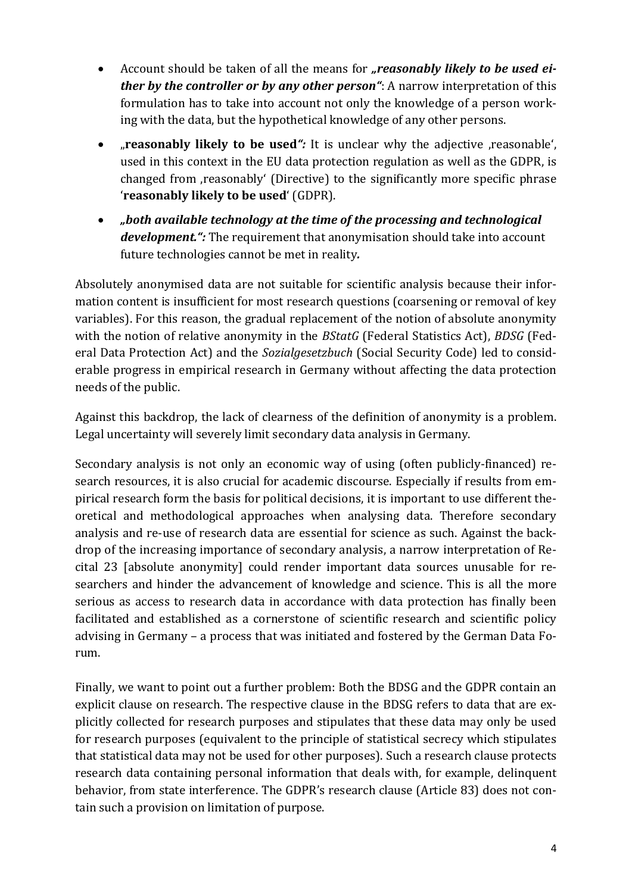- Account should be taken of all the means for "reasonably likely to be used ei*ther by the controller or by any other person"*: A narrow interpretation of this formulation has to take into account not only the knowledge of a person working with the data, but the hypothetical knowledge of any other persons.
- *reasonably likely to be used f*: It is unclear why the adjective reasonable', used in this context in the EU data protection regulation as well as the GDPR, is changed from , reasonably' (Directive) to the significantly more specific phrase '**reasonably likely to be used**' (GDPR).
- *"both available technology at the time of the processing and technological development.":* The requirement that anonymisation should take into account future technologies cannot be met in reality*.*

Absolutely anonymised data are not suitable for scientific analysis because their information content is insufficient for most research questions (coarsening or removal of key variables). For this reason, the gradual replacement of the notion of absolute anonymity with the notion of relative anonymity in the *BStatG* (Federal Statistics Act), *BDSG* (Federal Data Protection Act) and the *Sozialgesetzbuch* (Social Security Code) led to considerable progress in empirical research in Germany without affecting the data protection needs of the public.

Against this backdrop, the lack of clearness of the definition of anonymity is a problem. Legal uncertainty will severely limit secondary data analysis in Germany.

Secondary analysis is not only an economic way of using (often publicly-financed) research resources, it is also crucial for academic discourse. Especially if results from empirical research form the basis for political decisions, it is important to use different theoretical and methodological approaches when analysing data. Therefore secondary analysis and re-use of research data are essential for science as such. Against the backdrop of the increasing importance of secondary analysis, a narrow interpretation of Recital 23 [absolute anonymity] could render important data sources unusable for researchers and hinder the advancement of knowledge and science. This is all the more serious as access to research data in accordance with data protection has finally been facilitated and established as a cornerstone of scientific research and scientific policy advising in Germany – a process that was initiated and fostered by the German Data Forum.

Finally, we want to point out a further problem: Both the BDSG and the GDPR contain an explicit clause on research. The respective clause in the BDSG refers to data that are explicitly collected for research purposes and stipulates that these data may only be used for research purposes (equivalent to the principle of statistical secrecy which stipulates that statistical data may not be used for other purposes). Such a research clause protects research data containing personal information that deals with, for example, delinquent behavior, from state interference. The GDPR's research clause (Article 83) does not contain such a provision on limitation of purpose.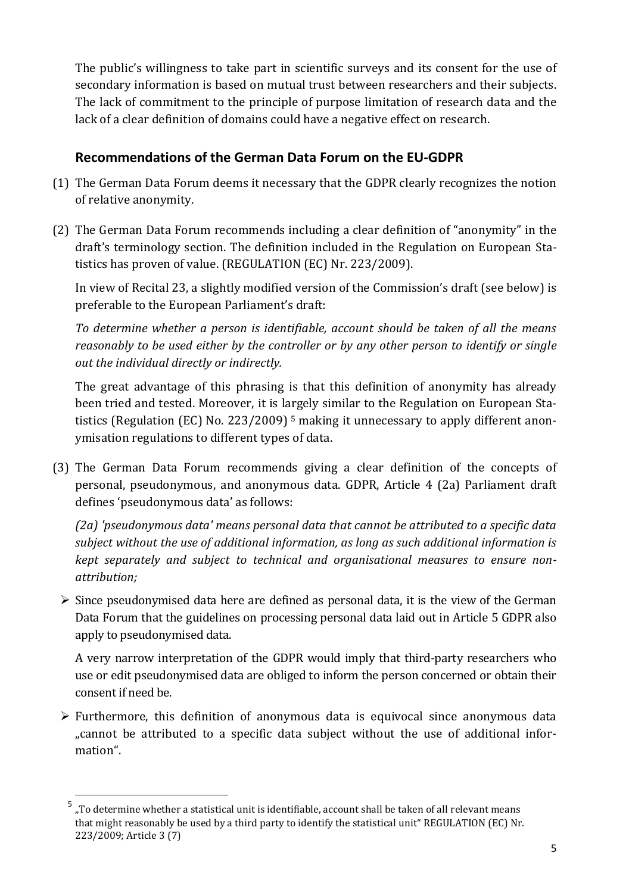The public's willingness to take part in scientific surveys and its consent for the use of secondary information is based on mutual trust between researchers and their subjects. The lack of commitment to the principle of purpose limitation of research data and the lack of a clear definition of domains could have a negative effect on research.

## **Recommendations of the German Data Forum on the EU-GDPR**

- (1) The German Data Forum deems it necessary that the GDPR clearly recognizes the notion of relative anonymity.
- (2) The German Data Forum recommends including a clear definition of "anonymity" in the draft's terminology section. The definition included in the Regulation on European Statistics has proven of value. (REGULATION (EC) Nr. 223/2009).

In view of Recital 23, a slightly modified version of the Commission's draft (see below) is preferable to the European Parliament's draft:

*To determine whether a person is identifiable, account should be taken of all the means reasonably to be used either by the controller or by any other person to identify or single out the individual directly or indirectly.*

The great advantage of this phrasing is that this definition of anonymity has already been tried and tested. Moreover, it is largely similar to the Regulation on European Statistics (Regulation (EC) No. 223/2009)<sup>5</sup> making it unnecessary to apply different anonymisation regulations to different types of data.

(3) The German Data Forum recommends giving a clear definition of the concepts of personal, pseudonymous, and anonymous data. GDPR, Article 4 (2a) Parliament draft defines 'pseudonymous data' as follows:

*(2a) 'pseudonymous data' means personal data that cannot be attributed to a specific data subject without the use of additional information, as long as such additional information is kept separately and subject to technical and organisational measures to ensure nonattribution;*

 $\triangleright$  Since pseudonymised data here are defined as personal data, it is the view of the German Data Forum that the guidelines on processing personal data laid out in Article 5 GDPR also apply to pseudonymised data.

A very narrow interpretation of the GDPR would imply that third-party researchers who use or edit pseudonymised data are obliged to inform the person concerned or obtain their consent if need be.

 $\triangleright$  Furthermore, this definition of anonymous data is equivocal since anonymous data "cannot be attributed to a specific data subject without the use of additional information".

 $\overline{a}$ 

<sup>&</sup>lt;sup>5</sup> "To determine whether a statistical unit is identifiable, account shall be taken of all relevant means that might reasonably be used by a third party to identify the statistical unit" REGULATION (EC) Nr. 223/2009; Article 3 (7)